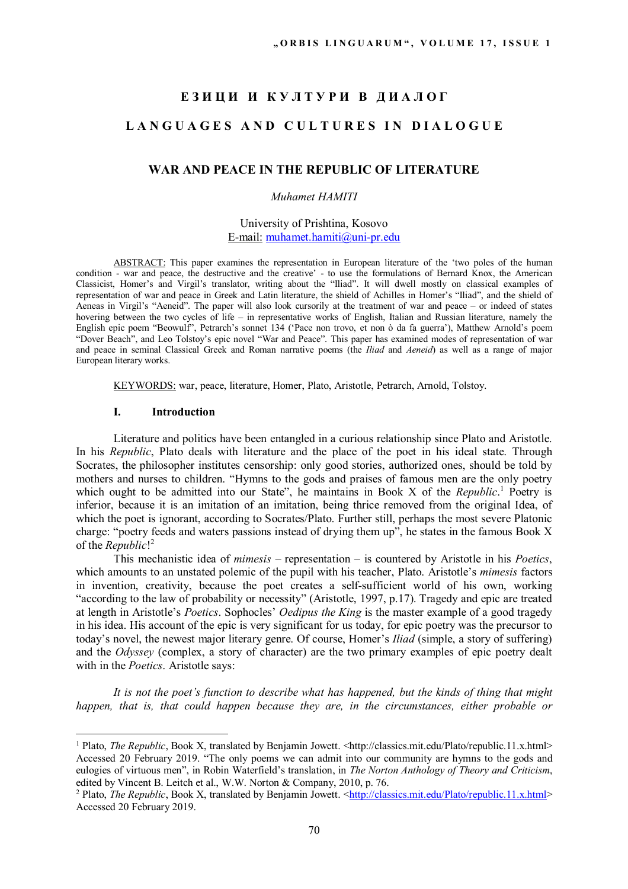# ЕЗИЦИ И КУЛТУРИ В ДИАЛОГ LANGUAGES AND CULTURES IN DIALOGUE

# **WAR AND PEACE IN THE REPUBLIC OF LITERATURE**

#### *Muhamet HAMITI*

## University of Prishtina, Kosovo Е-mail: muhamet.hamiti@uni-pr.edu

ABSTRACT: This paper examines the representation in European literature of the 'two poles of the human condition - war and peace, the destructive and the creative' - to use the formulations of Bernard Knox, the American Classicist, Homer's and Virgil's translator, writing about the "Iliad". It will dwell mostly on classical examples of representation of war and peace in Greek and Latin literature, the shield of Achilles in Homer's "Iliad", and the shield of Aeneas in Virgil's "Aeneid". The paper will also look cursorily at the treatment of war and peace – or indeed of states hovering between the two cycles of life – in representative works of English, Italian and Russian literature, namely the English epic poem "Beowulf", Petrarch's sonnet 134 ('Pace non trovo, et non ò da fa guerra'), Matthew Arnold's poem "Dover Beach", and Leo Tolstoy's epic novel "War and Peace". This paper has examined modes of representation of war and peace in seminal Classical Greek and Roman narrative poems (the *Iliad* and *Aeneid*) as well as a range of major European literary works.

KEYWORDS: war, peace, literature, Homer, Plato, Aristotle, Petrarch, Arnold, Tolstoy.

## **I. Introduction**

 $\overline{a}$ 

Literature and politics have been entangled in a curious relationship since Plato and Aristotle. In his *Republic*, Plato deals with literature and the place of the poet in his ideal state. Through Socrates, the philosopher institutes censorship: only good stories, authorized ones, should be told by mothers and nurses to children. "Hymns to the gods and praises of famous men are the only poetry which ought to be admitted into our State", he maintains in Book X of the *Republic*.<sup>1</sup> Poetry is inferior, because it is an imitation of an imitation, being thrice removed from the original Idea, of which the poet is ignorant, according to Socrates/Plato. Further still, perhaps the most severe Platonic charge: "poetry feeds and waters passions instead of drying them up", he states in the famous Book X of the *Republic*! 2

This mechanistic idea of *mimesis* – representation – is countered by Aristotle in his *Poetics*, which amounts to an unstated polemic of the pupil with his teacher, Plato. Aristotle's *mimesis* factors in invention, creativity, because the poet creates a self-sufficient world of his own, working "according to the law of probability or necessity" (Aristotle, 1997, p.17). Tragedy and epic are treated at length in Aristotle's *Poetics*. Sophocles' *Oedipus the King* is the master example of a good tragedy in his idea. His account of the epic is very significant for us today, for epic poetry was the precursor to today's novel, the newest major literary genre. Of course, Homer's *Iliad* (simple, a story of suffering) and the *Odyssey* (complex, a story of character) are the two primary examples of epic poetry dealt with in the *Poetics*. Aristotle says:

*It is not the poet's function to describe what has happened, but the kinds of thing that might happen, that is, that could happen because they are, in the circumstances, either probable or* 

<sup>&</sup>lt;sup>1</sup> Plato, *The Republic*, Book X, translated by Benjamin Jowett. <http://classics.mit.edu/Plato/republic.11.x.html> Accessed 20 February 2019. "The only poems we can admit into our community are hymns to the gods and eulogies of virtuous men", in Robin Waterfield's translation, in *The Norton Anthology of Theory and Criticism*, edited by Vincent B. Leitch et al., W.W. Norton & Company, 2010, p. 76.

<sup>&</sup>lt;sup>2</sup> Plato, *The Republic*, Book X, translated by Benjamin Jowett. <http://classics.mit.edu/Plato/republic.11.x.html> Accessed 20 February 2019.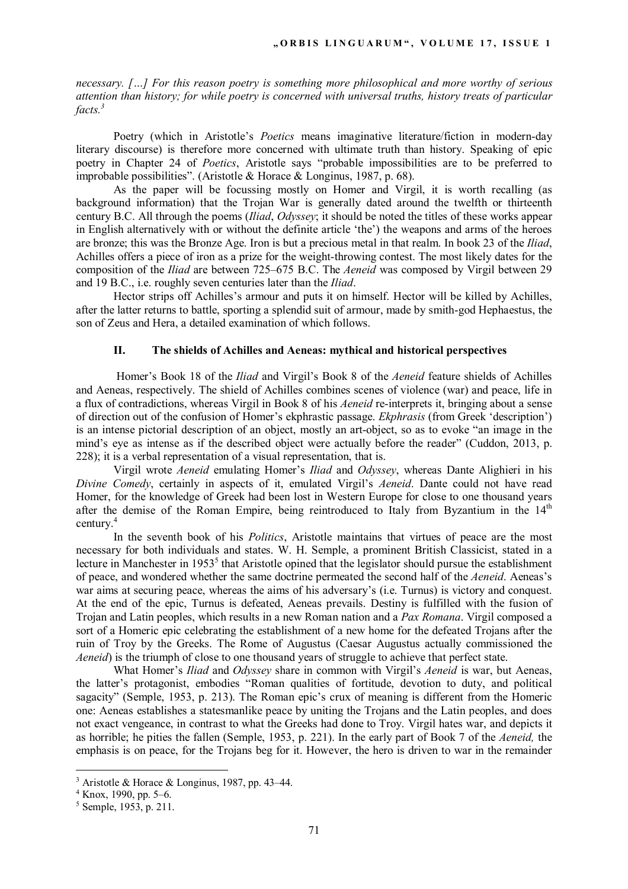*necessary. […] For this reason poetry is something more philosophical and more worthy of serious attention than history; for while poetry is concerned with universal truths, history treats of particular facts.<sup>3</sup>*

Poetry (which in Aristotle's *Poetics* means imaginative literature/fiction in modern-day literary discourse) is therefore more concerned with ultimate truth than history. Speaking of epic poetry in Chapter 24 of *Poetics*, Aristotle says "probable impossibilities are to be preferred to improbable possibilities". (Aristotle & Horace & Longinus, 1987, p. 68).

As the paper will be focussing mostly on Homer and Virgil, it is worth recalling (as background information) that the Trojan War is generally dated around the twelfth or thirteenth century B.C. All through the poems (*Iliad*, *Odyssey*; it should be noted the titles of these works appear in English alternatively with or without the definite article 'the') the weapons and arms of the heroes are bronze; this was the Bronze Age. Iron is but a precious metal in that realm. In book 23 of the *Iliad*, Achilles offers a piece of iron as a prize for the weight-throwing contest. The most likely dates for the composition of the *Iliad* are between 725–675 B.C. The *Aeneid* was composed by Virgil between 29 and 19 B.C., i.e. roughly seven centuries later than the *Iliad*.

Hector strips off Achilles's armour and puts it on himself. Hector will be killed by Achilles, after the latter returns to battle, sporting a splendid suit of armour, made by smith-god Hephaestus, the son of Zeus and Hera, a detailed examination of which follows.

#### **II. The shields of Achilles and Aeneas: mythical and historical perspectives**

 Homer's Book 18 of the *Iliad* and Virgil's Book 8 of the *Aeneid* feature shields of Achilles and Aeneas, respectively. The shield of Achilles combines scenes of violence (war) and peace, life in a flux of contradictions, whereas Virgil in Book 8 of his *Aeneid* re-interprets it, bringing about a sense of direction out of the confusion of Homer's ekphrastic passage. *Ekphrasis* (from Greek 'description') is an intense pictorial description of an object, mostly an art-object, so as to evoke "an image in the mind's eye as intense as if the described object were actually before the reader" (Cuddon, 2013, p. 228); it is a verbal representation of a visual representation, that is.

Virgil wrote *Aeneid* emulating Homer's *Iliad* and *Odyssey*, whereas Dante Alighieri in his *Divine Comedy*, certainly in aspects of it, emulated Virgil's *Aeneid*. Dante could not have read Homer, for the knowledge of Greek had been lost in Western Europe for close to one thousand years after the demise of the Roman Empire, being reintroduced to Italy from Byzantium in the  $14<sup>th</sup>$ century.<sup>4</sup>

In the seventh book of his *Politics*, Aristotle maintains that virtues of peace are the most necessary for both individuals and states. W. H. Semple, a prominent British Classicist, stated in a lecture in Manchester in 1953<sup>5</sup> that Aristotle opined that the legislator should pursue the establishment of peace, and wondered whether the same doctrine permeated the second half of the *Aeneid*. Aeneas's war aims at securing peace, whereas the aims of his adversary's (i.e. Turnus) is victory and conquest. At the end of the epic, Turnus is defeated, Aeneas prevails. Destiny is fulfilled with the fusion of Trojan and Latin peoples, which results in a new Roman nation and a *Pax Romana*. Virgil composed a sort of a Homeric epic celebrating the establishment of a new home for the defeated Trojans after the ruin of Troy by the Greeks. The Rome of Augustus (Caesar Augustus actually commissioned the *Aeneid*) is the triumph of close to one thousand years of struggle to achieve that perfect state.

What Homer's *Iliad* and *Odyssey* share in common with Virgil's *Aeneid* is war, but Aeneas, the latter's protagonist, embodies "Roman qualities of fortitude, devotion to duty, and political sagacity" (Semple, 1953, p. 213). The Roman epic's crux of meaning is different from the Homeric one: Aeneas establishes a statesmanlike peace by uniting the Trojans and the Latin peoples, and does not exact vengeance, in contrast to what the Greeks had done to Troy. Virgil hates war, and depicts it as horrible; he pities the fallen (Semple, 1953, p. 221). In the early part of Book 7 of the *Aeneid,* the emphasis is on peace, for the Trojans beg for it. However, the hero is driven to war in the remainder

 $3$  Aristotle & Horace & Longinus, 1987, pp. 43–44.

<sup>4</sup> Knox, 1990, pp. 5–6.

<sup>5</sup> Semple, 1953, p. 211.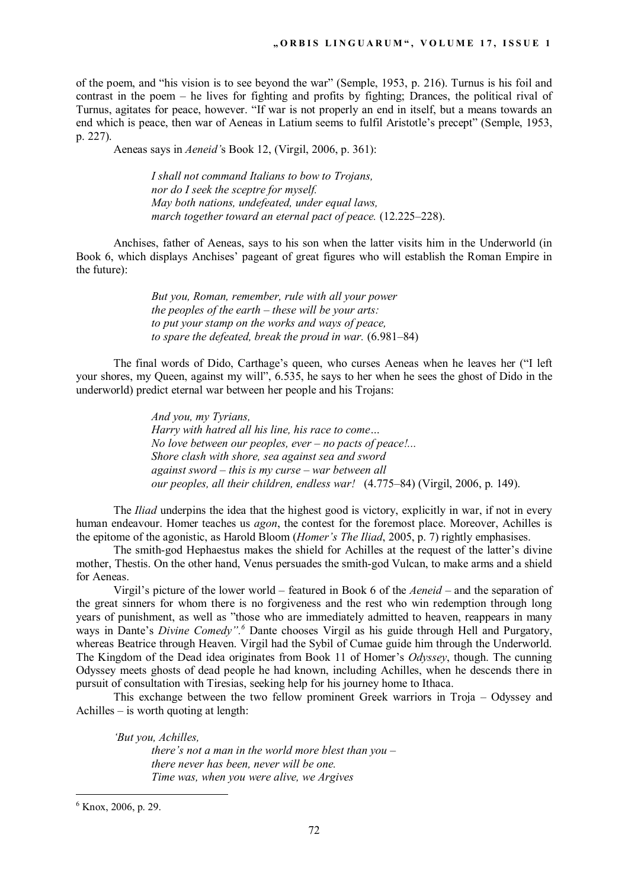of the poem, and "his vision is to see beyond the war" (Semple, 1953, p. 216). Turnus is his foil and contrast in the poem – he lives for fighting and profits by fighting; Drances, the political rival of Turnus, agitates for peace, however. "If war is not properly an end in itself, but a means towards an end which is peace, then war of Aeneas in Latium seems to fulfil Aristotle's precept" (Semple, 1953, p. 227).

Aeneas says in *Aeneid'*s Book 12, (Virgil, 2006, p. 361):

*I shall not command Italians to bow to Trojans, nor do I seek the sceptre for myself. May both nations, undefeated, under equal laws, march together toward an eternal pact of peace.* (12.225–228).

Anchises, father of Aeneas, says to his son when the latter visits him in the Underworld (in Book 6, which displays Anchises' pageant of great figures who will establish the Roman Empire in the future):

> *But you, Roman, remember, rule with all your power the peoples of the earth – these will be your arts: to put your stamp on the works and ways of peace, to spare the defeated, break the proud in war.* (6.981–84)

The final words of Dido, Carthage's queen, who curses Aeneas when he leaves her ("I left your shores, my Queen, against my will", 6.535, he says to her when he sees the ghost of Dido in the underworld) predict eternal war between her people and his Trojans:

> *And you, my Tyrians, Harry with hatred all his line, his race to come… No love between our peoples, ever – no pacts of peace!... Shore clash with shore, sea against sea and sword against sword – this is my curse – war between all our peoples, all their children, endless war!* (4.775–84) (Virgil, 2006, p. 149).

The *Iliad* underpins the idea that the highest good is victory, explicitly in war, if not in every human endeavour. Homer teaches us *agon*, the contest for the foremost place. Moreover, Achilles is the epitome of the agonistic, as Harold Bloom (*Homer's The Iliad*, 2005, p. 7) rightly emphasises.

The smith-god Hephaestus makes the shield for Achilles at the request of the latter's divine mother, Thestis. On the other hand, Venus persuades the smith-god Vulcan, to make arms and a shield for Aeneas.

Virgil's picture of the lower world – featured in Book 6 of the *Aeneid* – and the separation of the great sinners for whom there is no forgiveness and the rest who win redemption through long years of punishment, as well as "those who are immediately admitted to heaven, reappears in many ways in Dante's *Divine Comedy"*.<sup>6</sup> Dante chooses Virgil as his guide through Hell and Purgatory, whereas Beatrice through Heaven. Virgil had the Sybil of Cumae guide him through the Underworld. The Kingdom of the Dead idea originates from Book 11 of Homer's *Odyssey*, though. The cunning Odyssey meets ghosts of dead people he had known, including Achilles, when he descends there in pursuit of consultation with Tiresias, seeking help for his journey home to Ithaca.

This exchange between the two fellow prominent Greek warriors in Troja – Odyssey and Achilles – is worth quoting at length:

*'But you, Achilles, there's not a man in the world more blest than you – there never has been, never will be one. Time was, when you were alive, we Argives* 

<sup>6</sup> Knox, 2006, p. 29.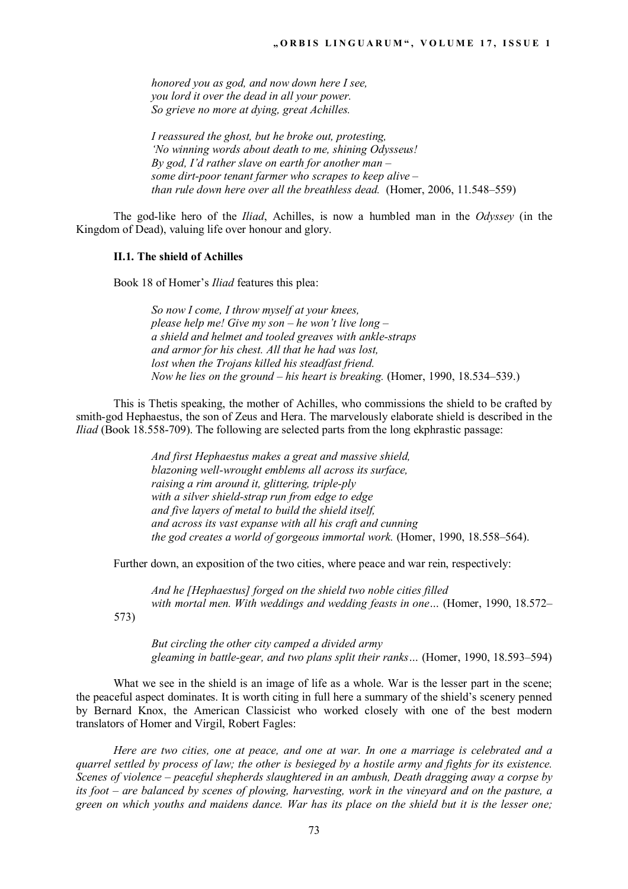*honored you as god, and now down here I see, you lord it over the dead in all your power. So grieve no more at dying, great Achilles.* 

*I reassured the ghost, but he broke out, protesting, 'No winning words about death to me, shining Odysseus! By god, I'd rather slave on earth for another man – some dirt-poor tenant farmer who scrapes to keep alive – than rule down here over all the breathless dead.* (Homer, 2006, 11.548–559)

The god-like hero of the *Iliad*, Achilles, is now a humbled man in the *Odyssey* (in the Kingdom of Dead), valuing life over honour and glory.

#### **II.1. The shield of Achilles**

Book 18 of Homer's *Iliad* features this plea:

*So now I come, I throw myself at your knees, please help me! Give my son – he won't live long – a shield and helmet and tooled greaves with ankle-straps and armor for his chest. All that he had was lost, lost when the Trojans killed his steadfast friend. Now he lies on the ground – his heart is breaking.* (Homer, 1990, 18.534–539.)

This is Thetis speaking, the mother of Achilles, who commissions the shield to be crafted by smith-god Hephaestus, the son of Zeus and Hera. The marvelously elaborate shield is described in the *Iliad* (Book 18.558-709). The following are selected parts from the long ekphrastic passage:

> *And first Hephaestus makes a great and massive shield, blazoning well-wrought emblems all across its surface, raising a rim around it, glittering, triple-ply with a silver shield-strap run from edge to edge and five layers of metal to build the shield itself, and across its vast expanse with all his craft and cunning the god creates a world of gorgeous immortal work.* (Homer, 1990, 18.558–564).

Further down, an exposition of the two cities, where peace and war rein, respectively:

*And he [Hephaestus] forged on the shield two noble cities filled with mortal men. With weddings and wedding feasts in one…* (Homer, 1990, 18.572–

573)

*But circling the other city camped a divided army gleaming in battle-gear, and two plans split their ranks…* (Homer, 1990, 18.593–594)

What we see in the shield is an image of life as a whole. War is the lesser part in the scene; the peaceful aspect dominates. It is worth citing in full here a summary of the shield's scenery penned by Bernard Knox, the American Classicist who worked closely with one of the best modern translators of Homer and Virgil, Robert Fagles:

*Here are two cities, one at peace, and one at war. In one a marriage is celebrated and a quarrel settled by process of law; the other is besieged by a hostile army and fights for its existence. Scenes of violence – peaceful shepherds slaughtered in an ambush, Death dragging away a corpse by its foot – are balanced by scenes of plowing, harvesting, work in the vineyard and on the pasture, a green on which youths and maidens dance. War has its place on the shield but it is the lesser one;*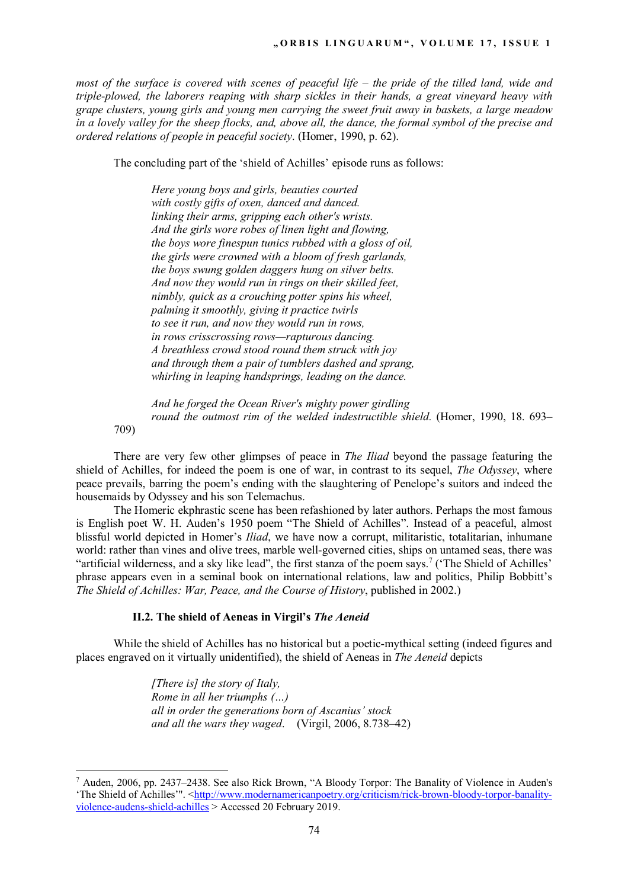*most of the surface is covered with scenes of peaceful life – the pride of the tilled land, wide and triple-plowed, the laborers reaping with sharp sickles in their hands, a great vineyard heavy with grape clusters, young girls and young men carrying the sweet fruit away in baskets, a large meadow in a lovely valley for the sheep flocks, and, above all, the dance, the formal symbol of the precise and ordered relations of people in peaceful society*. (Homer, 1990, p. 62).

The concluding part of the 'shield of Achilles' episode runs as follows:

*Here young boys and girls, beauties courted with costly gifts of oxen, danced and danced. linking their arms, gripping each other's wrists. And the girls wore robes of linen light and flowing, the boys wore finespun tunics rubbed with a gloss of oil, the girls were crowned with a bloom of fresh garlands, the boys swung golden daggers hung on silver belts. And now they would run in rings on their skilled feet, nimbly, quick as a crouching potter spins his wheel, palming it smoothly, giving it practice twirls to see it run, and now they would run in rows, in rows crisscrossing rows—rapturous dancing. A breathless crowd stood round them struck with joy and through them a pair of tumblers dashed and sprang, whirling in leaping handsprings, leading on the dance.*

*And he forged the Ocean River's mighty power girdling round the outmost rim of the welded indestructible shield.* (Homer, 1990, 18. 693–

709)

 $\overline{a}$ 

There are very few other glimpses of peace in *The Iliad* beyond the passage featuring the shield of Achilles, for indeed the poem is one of war, in contrast to its sequel, *The Odyssey*, where peace prevails, barring the poem's ending with the slaughtering of Penelope's suitors and indeed the housemaids by Odyssey and his son Telemachus.

The Homeric ekphrastic scene has been refashioned by later authors. Perhaps the most famous is English poet W. H. Auden's 1950 poem "The Shield of Achilles". Instead of a peaceful, almost blissful world depicted in Homer's *Iliad*, we have now a corrupt, militaristic, totalitarian, inhumane world: rather than vines and olive trees, marble well-governed cities, ships on untamed seas, there was "artificial wilderness, and a sky like lead", the first stanza of the poem says.<sup>7</sup> ('The Shield of Achilles' phrase appears even in a seminal book on international relations, law and politics, Philip Bobbitt's *The Shield of Achilles: War, Peace, and the Course of History*, published in 2002.)

## **II.2. The shield of Aeneas in Virgil's** *The Aeneid*

While the shield of Achilles has no historical but a poetic-mythical setting (indeed figures and places engraved on it virtually unidentified), the shield of Aeneas in *The Aeneid* depicts

> *[There is] the story of Italy, Rome in all her triumphs (…) all in order the generations born of Ascanius' stock and all the wars they waged*. (Virgil, 2006, 8.738–42)

<sup>&</sup>lt;sup>7</sup> Auden, 2006, pp. 2437–2438. See also Rick Brown, "A Bloody Torpor: The Banality of Violence in Auden's 'The Shield of Achilles'". <http://www.modernamericanpoetry.org/criticism/rick-brown-bloody-torpor-banalityviolence-audens-shield-achilles > Accessed 20 February 2019.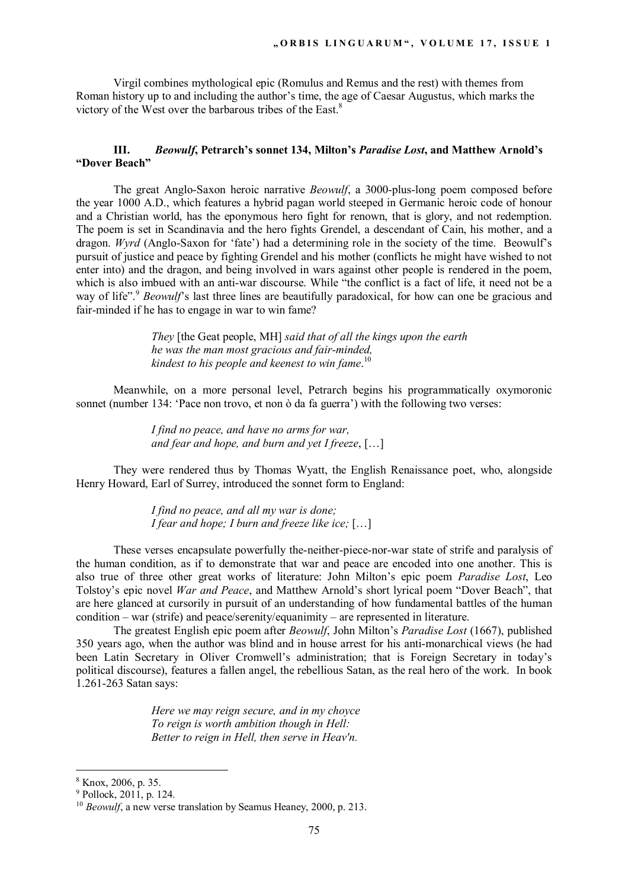Virgil combines mythological epic (Romulus and Remus and the rest) with themes from Roman history up to and including the author's time, the age of Caesar Augustus, which marks the victory of the West over the barbarous tribes of the East.<sup>8</sup>

## **III.** *Beowulf***, Petrarch's sonnet 134, Milton's** *Paradise Lost***, and Matthew Arnold's "Dover Beach"**

The great Anglo-Saxon heroic narrative *Beowulf*, a 3000-plus-long poem composed before the year 1000 A.D., which features a hybrid pagan world steeped in Germanic heroic code of honour and a Christian world, has the eponymous hero fight for renown, that is glory, and not redemption. The poem is set in Scandinavia and the hero fights Grendel, a descendant of Cain, his mother, and a dragon. *Wyrd* (Anglo-Saxon for 'fate') had a determining role in the society of the time. Beowulf's pursuit of justice and peace by fighting Grendel and his mother (conflicts he might have wished to not enter into) and the dragon, and being involved in wars against other people is rendered in the poem, which is also imbued with an anti-war discourse. While "the conflict is a fact of life, it need not be a way of life".<sup>9</sup> *Beowulf*'s last three lines are beautifully paradoxical, for how can one be gracious and fair-minded if he has to engage in war to win fame?

> *They* [the Geat people, MH] *said that of all the kings upon the earth he was the man most gracious and fair-minded, kindest to his people and keenest to win fame*. 10

Meanwhile, on a more personal level, Petrarch begins his programmatically oxymoronic sonnet (number 134: 'Pace non trovo, et non ò da fa guerra') with the following two verses:

> *I find no peace, and have no arms for war, and fear and hope, and burn and yet I freeze*, […]

They were rendered thus by Thomas Wyatt, the English Renaissance poet, who, alongside Henry Howard, Earl of Surrey, introduced the sonnet form to England:

> *I find no peace, and all my war is done; I fear and hope; I burn and freeze like ice;* […]

These verses encapsulate powerfully the-neither-piece-nor-war state of strife and paralysis of the human condition, as if to demonstrate that war and peace are encoded into one another. This is also true of three other great works of literature: John Milton's epic poem *Paradise Lost*, Leo Tolstoy's epic novel *War and Peace*, and Matthew Arnold's short lyrical poem "Dover Beach", that are here glanced at cursorily in pursuit of an understanding of how fundamental battles of the human condition – war (strife) and peace/serenity/equanimity – are represented in literature.

The greatest English epic poem after *Beowulf*, John Milton's *Paradise Lost* (1667), published 350 years ago, when the author was blind and in house arrest for his anti-monarchical views (he had been Latin Secretary in Oliver Cromwell's administration; that is Foreign Secretary in today's political discourse), features a fallen angel, the rebellious Satan, as the real hero of the work. In book 1.261-263 Satan says:

> *Here we may reign secure, and in my choyce To reign is worth ambition though in Hell: Better to reign in Hell, then serve in Heav'n.*

<sup>8</sup> Knox, 2006, p. 35.

<sup>9</sup> Pollock, 2011, p. 124.

<sup>&</sup>lt;sup>10</sup> *Beowulf*, a new verse translation by Seamus Heaney, 2000, p. 213.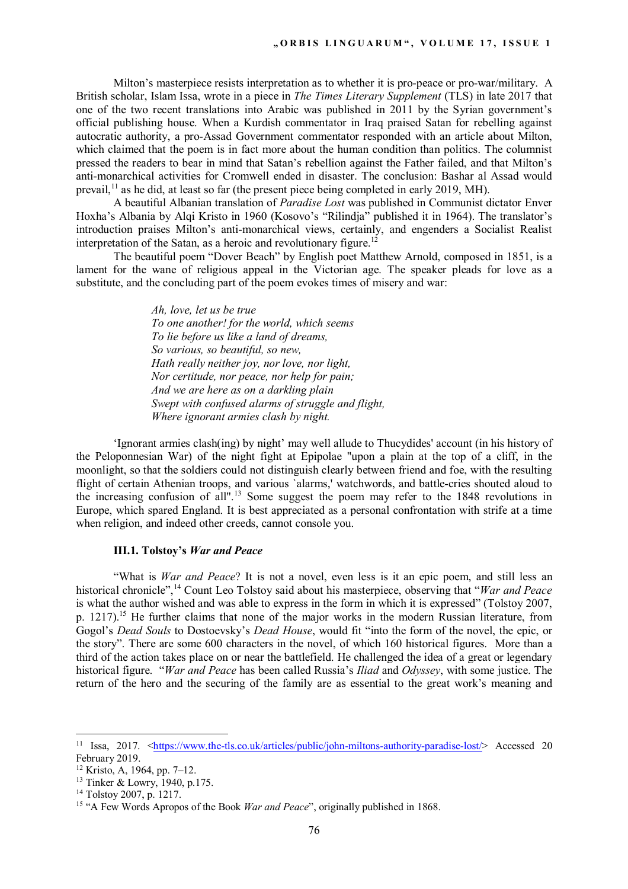Milton's masterpiece resists interpretation as to whether it is pro-peace or pro-war/military. A British scholar, Islam Issa, wrote in a piece in *The Times Literary Supplement* (TLS) in late 2017 that one of the two recent translations into Arabic was published in 2011 by the Syrian government's official publishing house. When a Kurdish commentator in Iraq praised Satan for rebelling against autocratic authority, a pro-Assad Government commentator responded with an article about Milton, which claimed that the poem is in fact more about the human condition than politics. The columnist pressed the readers to bear in mind that Satan's rebellion against the Father failed, and that Milton's anti-monarchical activities for Cromwell ended in disaster. The conclusion: Bashar al Assad would prevail,<sup>11</sup> as he did, at least so far (the present piece being completed in early 2019, MH).

A beautiful Albanian translation of *Paradise Lost* was published in Communist dictator Enver Hoxha's Albania by Alqi Kristo in 1960 (Kosovo's "Rilindja" published it in 1964). The translator's introduction praises Milton's anti-monarchical views, certainly, and engenders a Socialist Realist interpretation of the Satan, as a heroic and revolutionary figure.<sup>12</sup>

The beautiful poem "Dover Beach" by English poet Matthew Arnold, composed in 1851, is a lament for the wane of religious appeal in the Victorian age. The speaker pleads for love as a substitute, and the concluding part of the poem evokes times of misery and war:

> *Ah, love, let us be true To one another! for the world, which seems To lie before us like a land of dreams, So various, so beautiful, so new, Hath really neither joy, nor love, nor light, Nor certitude, nor peace, nor help for pain; And we are here as on a darkling plain Swept with confused alarms of struggle and flight, Where ignorant armies clash by night.*

'Ignorant armies clash(ing) by night' may well allude to Thucydides' account (in his history of the Peloponnesian War) of the night fight at Epipolae "upon a plain at the top of a cliff, in the moonlight, so that the soldiers could not distinguish clearly between friend and foe, with the resulting flight of certain Athenian troops, and various `alarms,' watchwords, and battle-cries shouted aloud to the increasing confusion of all".<sup>13</sup> Some suggest the poem may refer to the 1848 revolutions in Europe, which spared England. It is best appreciated as a personal confrontation with strife at a time when religion, and indeed other creeds, cannot console you.

## **III.1. Tolstoy's** *War and Peace*

"What is *War and Peace*? It is not a novel, even less is it an epic poem, and still less an historical chronicle",<sup>14</sup> Count Leo Tolstoy said about his masterpiece, observing that "*War and Peace* is what the author wished and was able to express in the form in which it is expressed" (Tolstoy 2007, p. 1217).<sup>15</sup> He further claims that none of the major works in the modern Russian literature, from Gogol's *Dead Souls* to Dostoevsky's *Dead House*, would fit "into the form of the novel, the epic, or the story". There are some 600 characters in the novel, of which 160 historical figures. More than a third of the action takes place on or near the battlefield. He challenged the idea of a great or legendary historical figure. "*War and Peace* has been called Russia's *Iliad* and *Odyssey*, with some justice. The return of the hero and the securing of the family are as essential to the great work's meaning and

<sup>&</sup>lt;sup>11</sup> Issa, 2017. <https://www.the-tls.co.uk/articles/public/john-miltons-authority-paradise-lost/> Accessed 20 February 2019.

<sup>12</sup> Kristo, A, 1964, pp. 7–12.

<sup>13</sup> Tinker & Lowry, 1940, p.175.

<sup>14</sup> Tolstoy 2007, p. 1217.

<sup>15</sup> "A Few Words Apropos of the Book *War and Peace*", originally published in 1868.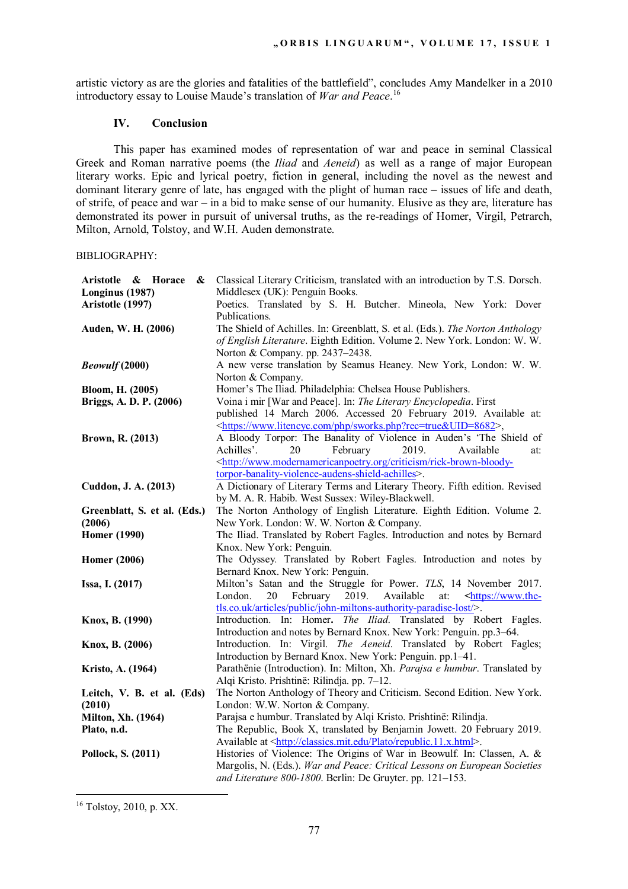artistic victory as are the glories and fatalities of the battlefield", concludes Amy Mandelker in a 2010 introductory essay to Louise Maude's translation of *War and Peace*. 16

## **IV. Conclusion**

This paper has examined modes of representation of war and peace in seminal Classical Greek and Roman narrative poems (the *Iliad* and *Aeneid*) as well as a range of major European literary works. Epic and lyrical poetry, fiction in general, including the novel as the newest and dominant literary genre of late, has engaged with the plight of human race – issues of life and death, of strife, of peace and war – in a bid to make sense of our humanity. Elusive as they are, literature has demonstrated its power in pursuit of universal truths, as the re-readings of Homer, Virgil, Petrarch, Milton, Arnold, Tolstoy, and W.H. Auden demonstrate.

BIBLIOGRAPHY:

| Aristotle & Horace<br>&<br>Longinus (1987) | Classical Literary Criticism, translated with an introduction by T.S. Dorsch.<br>Middlesex (UK): Penguin Books.                                                                                |
|--------------------------------------------|------------------------------------------------------------------------------------------------------------------------------------------------------------------------------------------------|
| Aristotle (1997)                           | Poetics. Translated by S. H. Butcher. Mineola, New York: Dover<br>Publications.                                                                                                                |
| Auden, W. H. (2006)                        | The Shield of Achilles. In: Greenblatt, S. et al. (Eds.). The Norton Anthology<br>of English Literature. Eighth Edition. Volume 2. New York. London: W. W.<br>Norton & Company. pp. 2437-2438. |
| <b>Beowulf</b> (2000)                      | A new verse translation by Seamus Heaney. New York, London: W. W.<br>Norton & Company.                                                                                                         |
| Bloom, H. (2005)                           | Homer's The Iliad. Philadelphia: Chelsea House Publishers.                                                                                                                                     |
| Briggs, A. D. P. (2006)                    | Voina i mir [War and Peace]. In: The Literary Encyclopedia. First<br>published 14 March 2006. Accessed 20 February 2019. Available at:                                                         |
|                                            | <https: php="" sworks.php?rec="true&amp;UID=8682" www.litencyc.com="">,</https:>                                                                                                               |
| Brown, R. (2013)                           | A Bloody Torpor: The Banality of Violence in Auden's 'The Shield of<br>20                                                                                                                      |
|                                            | Achilles'.<br>February<br>2019.<br>Available<br>at:<br><http: criticism="" rick-brown-bloody-<="" th="" www.modernamericanpoetry.org=""></http:>                                               |
|                                            | torpor-banality-violence-audens-shield-achilles>.                                                                                                                                              |
| Cuddon, J. A. (2013)                       | A Dictionary of Literary Terms and Literary Theory. Fifth edition. Revised<br>by M. A. R. Habib. West Sussex: Wiley-Blackwell.                                                                 |
| Greenblatt, S. et al. (Eds.)               | The Norton Anthology of English Literature. Eighth Edition. Volume 2.                                                                                                                          |
| (2006)                                     | New York. London: W. W. Norton & Company.                                                                                                                                                      |
| <b>Homer</b> (1990)                        | The Iliad. Translated by Robert Fagles. Introduction and notes by Bernard                                                                                                                      |
| <b>Homer</b> (2006)                        | Knox. New York: Penguin.<br>The Odyssey. Translated by Robert Fagles. Introduction and notes by                                                                                                |
|                                            | Bernard Knox. New York: Penguin.                                                                                                                                                               |
| Issa, I. (2017)                            | Milton's Satan and the Struggle for Power. TLS, 14 November 2017.                                                                                                                              |
|                                            | February 2019.<br>Available<br>London.<br>20<br>at:<br><https: th="" www.the-<=""></https:>                                                                                                    |
|                                            | tls.co.uk/articles/public/john-miltons-authority-paradise-lost/>.                                                                                                                              |
| Knox, B. (1990)                            | Introduction. In: Homer. The Iliad. Translated by Robert Fagles.                                                                                                                               |
| Knox, B. (2006)                            | Introduction and notes by Bernard Knox. New York: Penguin. pp.3-64.<br>Introduction. In: Virgil. The Aeneid. Translated by Robert Fagles;                                                      |
|                                            | Introduction by Bernard Knox. New York: Penguin. pp.1-41.                                                                                                                                      |
| Kristo, A. (1964)                          | Parathënie (Introduction). In: Milton, Xh. Parajsa e humbur. Translated by                                                                                                                     |
|                                            | Alqi Kristo. Prishtinë: Rilindja. pp. 7-12.                                                                                                                                                    |
| Leitch, V. B. et al. (Eds)                 | The Norton Anthology of Theory and Criticism. Second Edition. New York.                                                                                                                        |
| (2010)                                     | London: W.W. Norton & Company.                                                                                                                                                                 |
| <b>Milton, Xh.</b> (1964)                  | Parajsa e humbur. Translated by Alqi Kristo. Prishtinë: Rilindja.                                                                                                                              |
| Plato, n.d.                                | The Republic, Book X, translated by Benjamin Jowett. 20 February 2019.                                                                                                                         |
|                                            | Available at <http: classics.mit.edu="" plato="" republic.11.x.html="">.</http:>                                                                                                               |
| Pollock, S. (2011)                         | Histories of Violence: The Origins of War in Beowulf. In: Classen, A. &                                                                                                                        |
|                                            | Margolis, N. (Eds.). War and Peace: Critical Lessons on European Societies                                                                                                                     |
|                                            | and Literature 800-1800. Berlin: De Gruyter. pp. 121-153.                                                                                                                                      |

<sup>16</sup> Tolstoy, 2010, p. XX.